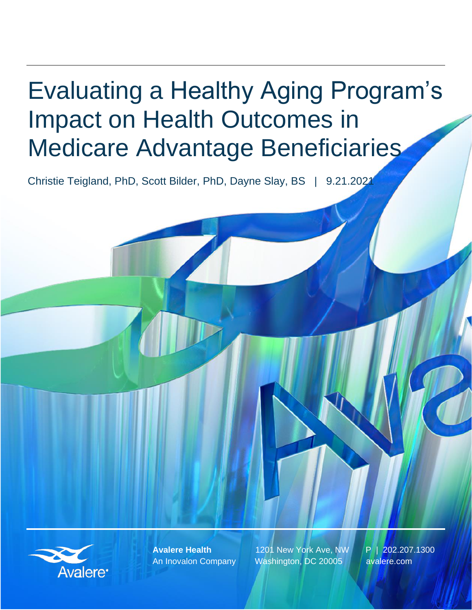# Evaluating a Healthy Aging Program's Impact on Health Outcomes in Medicare Advantage Beneficiaries

Christie Teigland, PhD, Scott Bilder, PhD, Dayne Slay, BS | 9.21.2021



**Avalere Health** 1201 New York Ave, NW P | 202.207.1300 An Inovalon Company Washington, DC 20005 avalere.com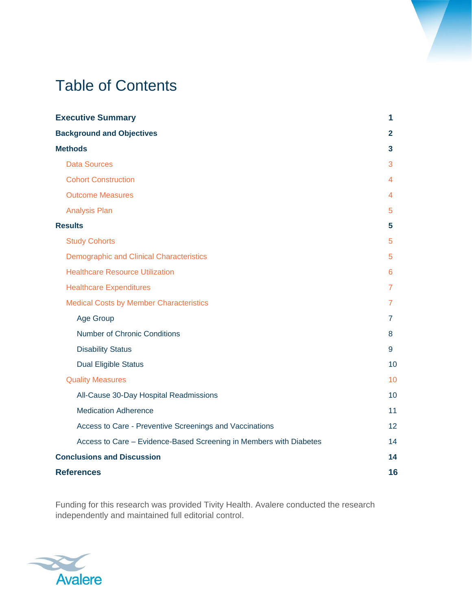## Table of Contents

| <b>Executive Summary</b>                                           | 1  |
|--------------------------------------------------------------------|----|
| <b>Background and Objectives</b>                                   | 2  |
| <b>Methods</b>                                                     | 3. |
| <b>Data Sources</b>                                                | 3  |
| <b>Cohort Construction</b>                                         | 4  |
| <b>Outcome Measures</b>                                            | 4  |
| <b>Analysis Plan</b>                                               | 5  |
| <b>Results</b>                                                     | 5. |
| <b>Study Cohorts</b>                                               | 5  |
| <b>Demographic and Clinical Characteristics</b>                    | 5  |
| <b>Healthcare Resource Utilization</b>                             | 6  |
| <b>Healthcare Expenditures</b>                                     | 7  |
| <b>Medical Costs by Member Characteristics</b>                     | 7  |
| Age Group                                                          | 7  |
| <b>Number of Chronic Conditions</b>                                | 8  |
| <b>Disability Status</b>                                           | 9  |
| <b>Dual Eligible Status</b>                                        | 10 |
| <b>Quality Measures</b>                                            | 10 |
| All-Cause 30-Day Hospital Readmissions                             | 10 |
| <b>Medication Adherence</b>                                        | 11 |
| Access to Care - Preventive Screenings and Vaccinations            | 12 |
| Access to Care - Evidence-Based Screening in Members with Diabetes | 14 |
| <b>Conclusions and Discussion</b>                                  | 14 |
| <b>References</b>                                                  | 16 |

Funding for this research was provided Tivity Health. Avalere conducted the research independently and maintained full editorial control.

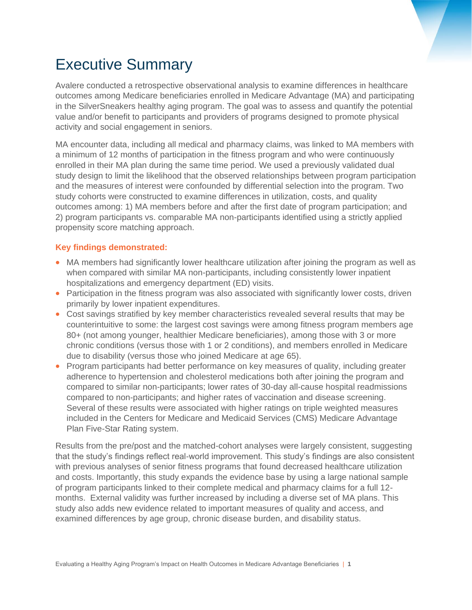

## Executive Summary

Avalere conducted a retrospective observational analysis to examine differences in healthcare outcomes among Medicare beneficiaries enrolled in Medicare Advantage (MA) and participating in the SilverSneakers healthy aging program. The goal was to assess and quantify the potential value and/or benefit to participants and providers of programs designed to promote physical activity and social engagement in seniors.

MA encounter data, including all medical and pharmacy claims, was linked to MA members with a minimum of 12 months of participation in the fitness program and who were continuously enrolled in their MA plan during the same time period. We used a previously validated dual study design to limit the likelihood that the observed relationships between program participation and the measures of interest were confounded by differential selection into the program. Two study cohorts were constructed to examine differences in utilization, costs, and quality outcomes among: 1) MA members before and after the first date of program participation; and 2) program participants vs. comparable MA non-participants identified using a strictly applied propensity score matching approach.

#### **Key findings demonstrated:**

- MA members had significantly lower healthcare utilization after joining the program as well as when compared with similar MA non-participants, including consistently lower inpatient hospitalizations and emergency department (ED) visits.
- Participation in the fitness program was also associated with significantly lower costs, driven primarily by lower inpatient expenditures.
- Cost savings stratified by key member characteristics revealed several results that may be counterintuitive to some: the largest cost savings were among fitness program members age 80+ (not among younger, healthier Medicare beneficiaries), among those with 3 or more chronic conditions (versus those with 1 or 2 conditions), and members enrolled in Medicare due to disability (versus those who joined Medicare at age 65).
- Program participants had better performance on key measures of quality, including greater adherence to hypertension and cholesterol medications both after joining the program and compared to similar non-participants; lower rates of 30-day all-cause hospital readmissions compared to non-participants; and higher rates of vaccination and disease screening. Several of these results were associated with higher ratings on triple weighted measures included in the Centers for Medicare and Medicaid Services (CMS) Medicare Advantage Plan Five-Star Rating system.

Results from the pre/post and the matched-cohort analyses were largely consistent, suggesting that the study's findings reflect real-world improvement. This study's findings are also consistent with previous analyses of senior fitness programs that found decreased healthcare utilization and costs. Importantly, this study expands the evidence base by using a large national sample of program participants linked to their complete medical and pharmacy claims for a full 12 months. External validity was further increased by including a diverse set of MA plans. This study also adds new evidence related to important measures of quality and access, and examined differences by age group, chronic disease burden, and disability status.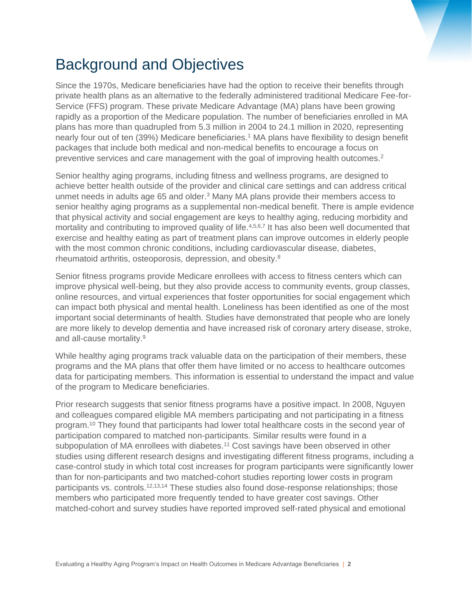## Background and Objectives

Since the 1970s, Medicare beneficiaries have had the option to receive their benefits through private health plans as an alternative to the federally administered traditional Medicare Fee-for-Service (FFS) program. These private Medicare Advantage (MA) plans have been growing rapidly as a proportion of the Medicare population. The number of beneficiaries enrolled in MA plans has more than quadrupled from 5.3 million in 2004 to 24.1 million in 2020, representing nearly four out of ten (39%) Medicare beneficiaries.<sup>1</sup> MA plans have flexibility to design benefit packages that include both medical and non-medical benefits to encourage a focus on preventive services and care management with the goal of improving health outcomes.<sup>2</sup>

Senior healthy aging programs, including fitness and wellness programs, are designed to achieve better health outside of the provider and clinical care settings and can address critical unmet needs in adults age 65 and older.<sup>3</sup> Many MA plans provide their members access to senior healthy aging programs as a supplemental non-medical benefit. There is ample evidence that physical activity and social engagement are keys to healthy aging, reducing morbidity and mortality and contributing to improved quality of life.<sup>4,5,6,7</sup> It has also been well documented that exercise and healthy eating as part of treatment plans can improve outcomes in elderly people with the most common chronic conditions, including cardiovascular disease, diabetes, rheumatoid arthritis, osteoporosis, depression, and obesity.<sup>8</sup>

Senior fitness programs provide Medicare enrollees with access to fitness centers which can improve physical well-being, but they also provide access to community events, group classes, online resources, and virtual experiences that foster opportunities for social engagement which can impact both physical and mental health. Loneliness has been identified as one of the most important social determinants of health. Studies have demonstrated that people who are lonely are more likely to develop dementia and have increased risk of coronary artery disease, stroke, and all-cause mortality.<sup>9</sup>

While healthy aging programs track valuable data on the participation of their members, these programs and the MA plans that offer them have limited or no access to healthcare outcomes data for participating members. This information is essential to understand the impact and value of the program to Medicare beneficiaries.

Prior research suggests that senior fitness programs have a positive impact. In 2008, Nguyen and colleagues compared eligible MA members participating and not participating in a fitness program.<sup>10</sup> They found that participants had lower total healthcare costs in the second year of participation compared to matched non-participants. Similar results were found in a subpopulation of MA enrollees with diabetes.<sup>11</sup> Cost savings have been observed in other studies using different research designs and investigating different fitness programs, including a case-control study in which total cost increases for program participants were significantly lower than for non-participants and two matched-cohort studies reporting lower costs in program participants vs. controls.<sup>12,13,14</sup> These studies also found dose-response relationships; those members who participated more frequently tended to have greater cost savings. Other matched-cohort and survey studies have reported improved self-rated physical and emotional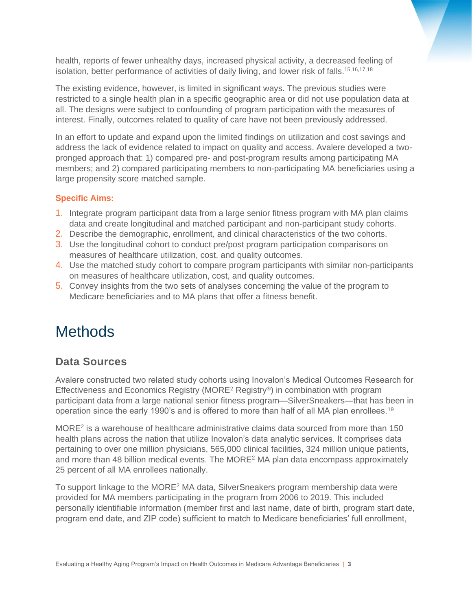health, reports of fewer unhealthy days, increased physical activity, a decreased feeling of isolation, better performance of activities of daily living, and lower risk of falls.<sup>15,16,17,18</sup>

The existing evidence, however, is limited in significant ways. The previous studies were restricted to a single health plan in a specific geographic area or did not use population data at all. The designs were subject to confounding of program participation with the measures of interest. Finally, outcomes related to quality of care have not been previously addressed.

In an effort to update and expand upon the limited findings on utilization and cost savings and address the lack of evidence related to impact on quality and access, Avalere developed a twopronged approach that: 1) compared pre- and post-program results among participating MA members; and 2) compared participating members to non-participating MA beneficiaries using a large propensity score matched sample.

#### **Specific Aims:**

- 1. Integrate program participant data from a large senior fitness program with MA plan claims data and create longitudinal and matched participant and non-participant study cohorts.
- 2. Describe the demographic, enrollment, and clinical characteristics of the two cohorts.
- 3. Use the longitudinal cohort to conduct pre/post program participation comparisons on measures of healthcare utilization, cost, and quality outcomes.
- 4. Use the matched study cohort to compare program participants with similar non-participants on measures of healthcare utilization, cost, and quality outcomes.
- 5. Convey insights from the two sets of analyses concerning the value of the program to Medicare beneficiaries and to MA plans that offer a fitness benefit.

## **Methods**

### **Data Sources**

Avalere constructed two related study cohorts using Inovalon's Medical Outcomes Research for Effectiveness and Economics Registry (MORE<sup>2</sup> Registry®) in combination with program participant data from a large national senior fitness program—SilverSneakers—that has been in operation since the early 1990's and is offered to more than half of all MA plan enrollees.<sup>19</sup>

MORE<sup>2</sup> is a warehouse of healthcare administrative claims data sourced from more than 150 health plans across the nation that utilize Inovalon's data analytic services. It comprises data pertaining to over one million physicians, 565,000 clinical facilities, 324 million unique patients, and more than 48 billion medical events. The MORE<sup>2</sup> MA plan data encompass approximately 25 percent of all MA enrollees nationally.

To support linkage to the MORE<sup>2</sup> MA data, SilverSneakers program membership data were provided for MA members participating in the program from 2006 to 2019. This included personally identifiable information (member first and last name, date of birth, program start date, program end date, and ZIP code) sufficient to match to Medicare beneficiaries' full enrollment,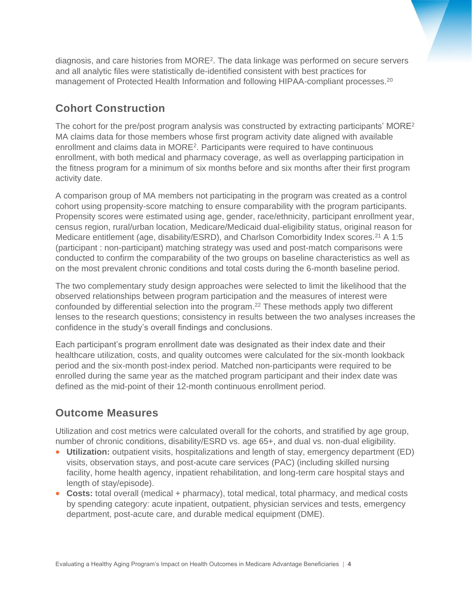diagnosis, and care histories from MORE<sup>2</sup>. The data linkage was performed on secure servers and all analytic files were statistically de-identified consistent with best practices for management of Protected Health Information and following HIPAA-compliant processes.<sup>20</sup>

## **Cohort Construction**

The cohort for the pre/post program analysis was constructed by extracting participants'  $MORE<sup>2</sup>$ MA claims data for those members whose first program activity date aligned with available enrollment and claims data in MORE<sup>2</sup>. Participants were required to have continuous enrollment, with both medical and pharmacy coverage, as well as overlapping participation in the fitness program for a minimum of six months before and six months after their first program activity date.

A comparison group of MA members not participating in the program was created as a control cohort using propensity-score matching to ensure comparability with the program participants. Propensity scores were estimated using age, gender, race/ethnicity, participant enrollment year, census region, rural/urban location, Medicare/Medicaid dual-eligibility status, original reason for Medicare entitlement (age, disability/ESRD), and Charlson Comorbidity Index scores.<sup>21</sup> A 1:5 (participant : non-participant) matching strategy was used and post-match comparisons were conducted to confirm the comparability of the two groups on baseline characteristics as well as on the most prevalent chronic conditions and total costs during the 6-month baseline period.

The two complementary study design approaches were selected to limit the likelihood that the observed relationships between program participation and the measures of interest were confounded by differential selection into the program. <sup>22</sup> These methods apply two different lenses to the research questions; consistency in results between the two analyses increases the confidence in the study's overall findings and conclusions.

Each participant's program enrollment date was designated as their index date and their healthcare utilization, costs, and quality outcomes were calculated for the six-month lookback period and the six-month post-index period. Matched non-participants were required to be enrolled during the same year as the matched program participant and their index date was defined as the mid-point of their 12-month continuous enrollment period.

### **Outcome Measures**

Utilization and cost metrics were calculated overall for the cohorts, and stratified by age group, number of chronic conditions, disability/ESRD vs. age 65+, and dual vs. non-dual eligibility.

- **Utilization:** outpatient visits, hospitalizations and length of stay, emergency department (ED) visits, observation stays, and post-acute care services (PAC) (including skilled nursing facility, home health agency, inpatient rehabilitation, and long-term care hospital stays and length of stay/episode).
- **Costs:** total overall (medical + pharmacy), total medical, total pharmacy, and medical costs by spending category: acute inpatient, outpatient, physician services and tests, emergency department, post-acute care, and durable medical equipment (DME).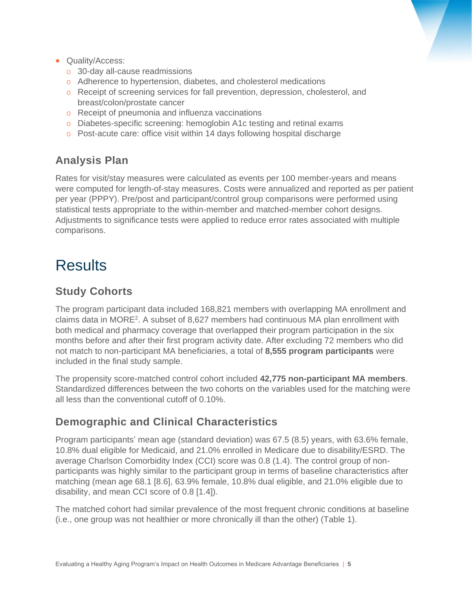- Quality/Access:
	- o 30-day all-cause readmissions
	- o Adherence to hypertension, diabetes, and cholesterol medications
	- o Receipt of screening services for fall prevention, depression, cholesterol, and breast/colon/prostate cancer
	- o Receipt of pneumonia and influenza vaccinations
	- o Diabetes-specific screening: hemoglobin A1c testing and retinal exams
	- o Post-acute care: office visit within 14 days following hospital discharge

### **Analysis Plan**

Rates for visit/stay measures were calculated as events per 100 member-years and means were computed for length-of-stay measures. Costs were annualized and reported as per patient per year (PPPY). Pre/post and participant/control group comparisons were performed using statistical tests appropriate to the within-member and matched-member cohort designs. Adjustments to significance tests were applied to reduce error rates associated with multiple comparisons.

## **Results**

### **Study Cohorts**

The program participant data included 168,821 members with overlapping MA enrollment and claims data in MORE<sup>2</sup> . A subset of 8,627 members had continuous MA plan enrollment with both medical and pharmacy coverage that overlapped their program participation in the six months before and after their first program activity date. After excluding 72 members who did not match to non-participant MA beneficiaries, a total of **8,555 program participants** were included in the final study sample.

The propensity score-matched control cohort included **42,775 non-participant MA members**. Standardized differences between the two cohorts on the variables used for the matching were all less than the conventional cutoff of 0.10%.

### **Demographic and Clinical Characteristics**

Program participants' mean age (standard deviation) was 67.5 (8.5) years, with 63.6% female, 10.8% dual eligible for Medicaid, and 21.0% enrolled in Medicare due to disability/ESRD. The average Charlson Comorbidity Index (CCI) score was 0.8 (1.4). The control group of nonparticipants was highly similar to the participant group in terms of baseline characteristics after matching (mean age 68.1 [8.6], 63.9% female, 10.8% dual eligible, and 21.0% eligible due to disability, and mean CCI score of 0.8 [1.4]).

The matched cohort had similar prevalence of the most frequent chronic conditions at baseline (i.e., one group was not healthier or more chronically ill than the other) (Table 1).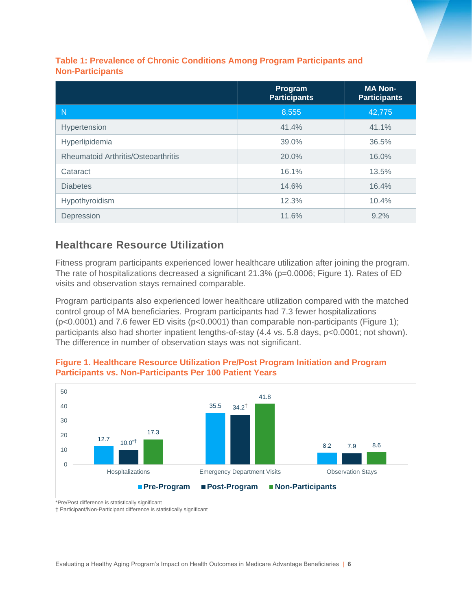#### **Table 1: Prevalence of Chronic Conditions Among Program Participants and Non-Participants**

|                                            | Program<br><b>Participants</b> | <b>MA Non-</b><br><b>Participants</b> |
|--------------------------------------------|--------------------------------|---------------------------------------|
| N                                          | 8,555                          | 42,775                                |
| Hypertension                               | 41.4%                          | 41.1%                                 |
| Hyperlipidemia                             | 39.0%                          | 36.5%                                 |
| <b>Rheumatoid Arthritis/Osteoarthritis</b> | 20.0%                          | 16.0%                                 |
| Cataract                                   | 16.1%                          | 13.5%                                 |
| <b>Diabetes</b>                            | 14.6%                          | 16.4%                                 |
| Hypothyroidism                             | 12.3%                          | 10.4%                                 |
| Depression                                 | 11.6%                          | 9.2%                                  |

### **Healthcare Resource Utilization**

Fitness program participants experienced lower healthcare utilization after joining the program. The rate of hospitalizations decreased a significant 21.3% (p=0.0006; Figure 1). Rates of ED visits and observation stays remained comparable.

Program participants also experienced lower healthcare utilization compared with the matched control group of MA beneficiaries. Program participants had 7.3 fewer hospitalizations (p<0.0001) and 7.6 fewer ED visits (p<0.0001) than comparable non-participants (Figure 1); participants also had shorter inpatient lengths-of-stay (4.4 vs. 5.8 days, p<0.0001; not shown). The difference in number of observation stays was not significant.



**Figure 1. Healthcare Resource Utilization Pre/Post Program Initiation and Program Participants vs. Non-Participants Per 100 Patient Years**

\*Pre/Post difference is statistically significant

† Participant/Non-Participant difference is statistically significant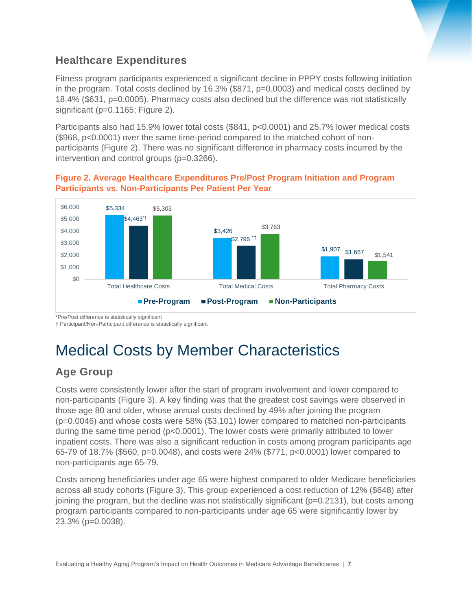## **Healthcare Expenditures**

Fitness program participants experienced a significant decline in PPPY costs following initiation in the program. Total costs declined by 16.3% (\$871, p=0.0003) and medical costs declined by 18.4% (\$631, p=0.0005). Pharmacy costs also declined but the difference was not statistically significant (p=0.1165; Figure 2).

Participants also had 15.9% lower total costs (\$841, p<0.0001) and 25.7% lower medical costs (\$968, p<0.0001) over the same time-period compared to the matched cohort of nonparticipants (Figure 2). There was no significant difference in pharmacy costs incurred by the intervention and control groups (p=0.3266).

#### **Figure 2. Average Healthcare Expenditures Pre/Post Program Initiation and Program Participants vs. Non-Participants Per Patient Per Year**



\*Pre/Post difference is statistically significant

† Participant/Non-Participant difference is statistically significant

## Medical Costs by Member Characteristics

## **Age Group**

Costs were consistently lower after the start of program involvement and lower compared to non-participants (Figure 3). A key finding was that the greatest cost savings were observed in those age 80 and older, whose annual costs declined by 49% after joining the program (p=0.0046) and whose costs were 58% (\$3,101) lower compared to matched non-participants during the same time period (p<0.0001). The lower costs were primarily attributed to lower inpatient costs. There was also a significant reduction in costs among program participants age 65-79 of 18.7% (\$560, p=0.0048), and costs were 24% (\$771, p<0.0001) lower compared to non-participants age 65-79.

Costs among beneficiaries under age 65 were highest compared to older Medicare beneficiaries across all study cohorts (Figure 3). This group experienced a cost reduction of 12% (\$648) after joining the program, but the decline was not statistically significant (p=0.2131), but costs among program participants compared to non-participants under age 65 were significantly lower by 23.3% (p=0.0038).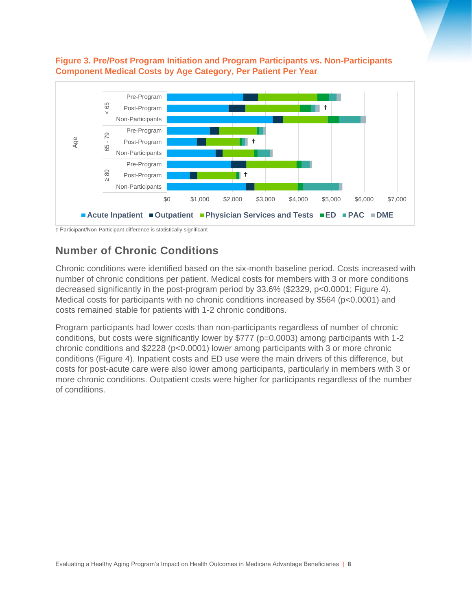

#### **Figure 3. Pre/Post Program Initiation and Program Participants vs. Non-Participants Component Medical Costs by Age Category, Per Patient Per Year**

† Participant/Non-Participant difference is statistically significant

### **Number of Chronic Conditions**

Chronic conditions were identified based on the six-month baseline period. Costs increased with number of chronic conditions per patient. Medical costs for members with 3 or more conditions decreased significantly in the post-program period by 33.6% (\$2329, p<0.0001; Figure 4). Medical costs for participants with no chronic conditions increased by \$564 (p<0.0001) and costs remained stable for patients with 1-2 chronic conditions.

Program participants had lower costs than non-participants regardless of number of chronic conditions, but costs were significantly lower by \$777 (p=0.0003) among participants with 1-2 chronic conditions and \$2228 (p<0.0001) lower among participants with 3 or more chronic conditions (Figure 4). Inpatient costs and ED use were the main drivers of this difference, but costs for post-acute care were also lower among participants, particularly in members with 3 or more chronic conditions. Outpatient costs were higher for participants regardless of the number of conditions.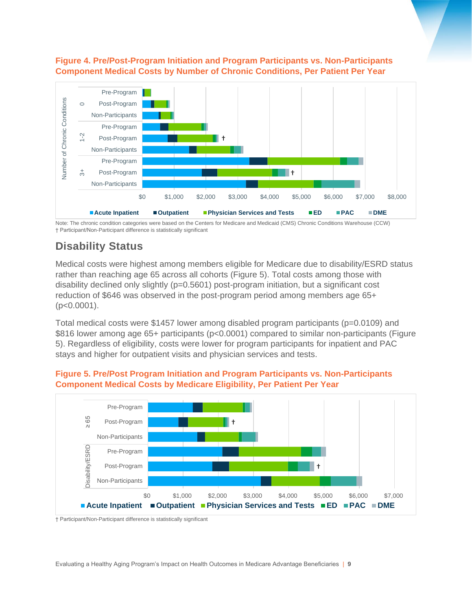#### **Figure 4. Pre/Post-Program Initiation and Program Participants vs. Non-Participants Component Medical Costs by Number of Chronic Conditions, Per Patient Per Year**



Note: The chronic condition categories were based on the Centers for Medicare and Medicaid (CMS) Chronic Conditions Warehouse (CCW) † Participant/Non-Participant difference is statistically significant

## **Disability Status**

Medical costs were highest among members eligible for Medicare due to disability/ESRD status rather than reaching age 65 across all cohorts (Figure 5). Total costs among those with disability declined only slightly (p=0.5601) post-program initiation, but a significant cost reduction of \$646 was observed in the post-program period among members age 65+  $(p<0.0001)$ .

Total medical costs were \$1457 lower among disabled program participants (p=0.0109) and \$816 lower among age 65+ participants (p<0.0001) compared to similar non-participants (Figure 5). Regardless of eligibility, costs were lower for program participants for inpatient and PAC stays and higher for outpatient visits and physician services and tests.



#### **Figure 5. Pre/Post Program Initiation and Program Participants vs. Non-Participants Component Medical Costs by Medicare Eligibility, Per Patient Per Year**

† Participant/Non-Participant difference is statistically significant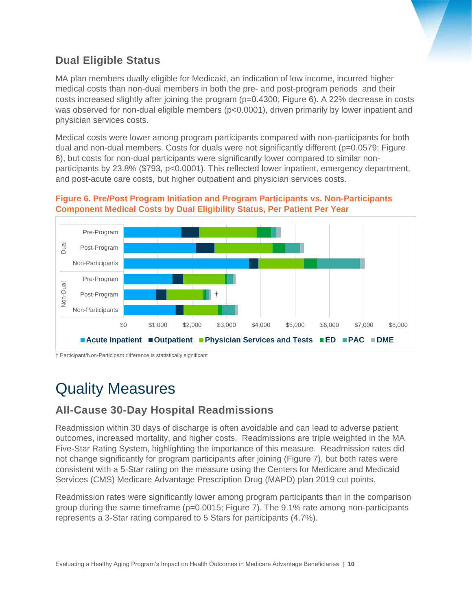

## **Dual Eligible Status**

MA plan members dually eligible for Medicaid, an indication of low income, incurred higher medical costs than non-dual members in both the pre- and post-program periods and their costs increased slightly after joining the program (p=0.4300; Figure 6). A 22% decrease in costs was observed for non-dual eligible members (p<0.0001), driven primarily by lower inpatient and physician services costs.

Medical costs were lower among program participants compared with non-participants for both dual and non-dual members. Costs for duals were not significantly different (p=0.0579; Figure 6), but costs for non-dual participants were significantly lower compared to similar nonparticipants by 23.8% (\$793, p<0.0001). This reflected lower inpatient, emergency department, and post-acute care costs, but higher outpatient and physician services costs.





† Participant/Non-Participant difference is statistically significant

## Quality Measures

## **All-Cause 30-Day Hospital Readmissions**

Readmission within 30 days of discharge is often avoidable and can lead to adverse patient outcomes, increased mortality, and higher costs. Readmissions are triple weighted in the MA Five-Star Rating System, highlighting the importance of this measure. Readmission rates did not change significantly for program participants after joining (Figure 7), but both rates were consistent with a 5-Star rating on the measure using the Centers for Medicare and Medicaid Services (CMS) Medicare Advantage Prescription Drug (MAPD) plan 2019 cut points.

Readmission rates were significantly lower among program participants than in the comparison group during the same timeframe ( $p=0.0015$ ; Figure 7). The 9.1% rate among non-participants represents a 3-Star rating compared to 5 Stars for participants (4.7%).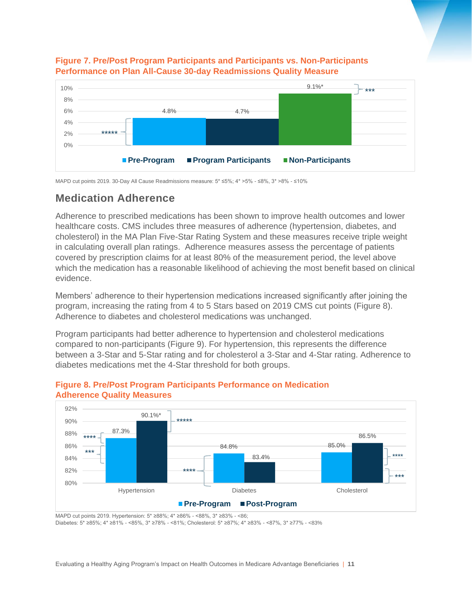

#### **Figure 7. Pre/Post Program Participants and Participants vs. Non-Participants Performance on Plan All-Cause 30-day Readmissions Quality Measure**

MAPD cut points 2019. 30-Day All Cause Readmissions measure: 5\* ≤5%; 4\* >5% - ≤8%, 3\* >8% - ≤10%

### **Medication Adherence**

Adherence to prescribed medications has been shown to improve health outcomes and lower healthcare costs. CMS includes three measures of adherence (hypertension, diabetes, and cholesterol) in the MA Plan Five-Star Rating System and these measures receive triple weight in calculating overall plan ratings. Adherence measures assess the percentage of patients covered by prescription claims for at least 80% of the measurement period, the level above which the medication has a reasonable likelihood of achieving the most benefit based on clinical evidence.

Members' adherence to their hypertension medications increased significantly after joining the program, increasing the rating from 4 to 5 Stars based on 2019 CMS cut points (Figure 8). Adherence to diabetes and cholesterol medications was unchanged.

Program participants had better adherence to hypertension and cholesterol medications compared to non-participants (Figure 9). For hypertension, this represents the difference between a 3-Star and 5-Star rating and for cholesterol a 3-Star and 4-Star rating. Adherence to diabetes medications met the 4-Star threshold for both groups.



#### **Figure 8. Pre/Post Program Participants Performance on Medication Adherence Quality Measures**

MAPD cut points 2019. Hypertension: 5\* ≥88%; 4\* ≥86% - <88%, 3\* ≥83% - <86; Diabetes: 5\* ≥85%; 4\* ≥81% - <85%, 3\* ≥78% - <81%; Cholesterol: 5\* ≥87%; 4\* ≥83% - <87%, 3\* ≥77% - <83%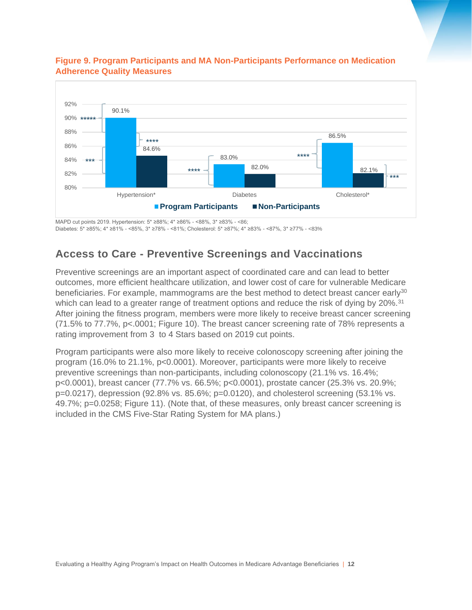

#### **Figure 9. Program Participants and MA Non-Participants Performance on Medication Adherence Quality Measures**

MAPD cut points 2019. Hypertension: 5\* ≥88%; 4\* ≥86% - <88%, 3\* ≥83% - <86; Diabetes: 5\* ≥85%; 4\* ≥81% - <85%, 3\* ≥78% - <81%; Cholesterol: 5\* ≥87%; 4\* ≥83% - <87%, 3\* ≥77% - <83%

### **Access to Care - Preventive Screenings and Vaccinations**

Preventive screenings are an important aspect of coordinated care and can lead to better outcomes, more efficient healthcare utilization, and lower cost of care for vulnerable Medicare beneficiaries. For example, mammograms are the best method to detect breast cancer early<sup>30</sup> which can lead to a greater range of treatment options and reduce the risk of dying by 20%.<sup>31</sup> After joining the fitness program, members were more likely to receive breast cancer screening (71.5% to 77.7%, p<.0001; Figure 10). The breast cancer screening rate of 78% represents a rating improvement from 3 to 4 Stars based on 2019 cut points.

Program participants were also more likely to receive colonoscopy screening after joining the program (16.0% to 21.1%, p<0.0001). Moreover, participants were more likely to receive preventive screenings than non-participants, including colonoscopy (21.1% vs. 16.4%; p<0.0001), breast cancer (77.7% vs. 66.5%; p<0.0001), prostate cancer (25.3% vs. 20.9%; p=0.0217), depression (92.8% vs. 85.6%; p=0.0120), and cholesterol screening (53.1% vs. 49.7%; p=0.0258; Figure 11). (Note that, of these measures, only breast cancer screening is included in the CMS Five-Star Rating System for MA plans.)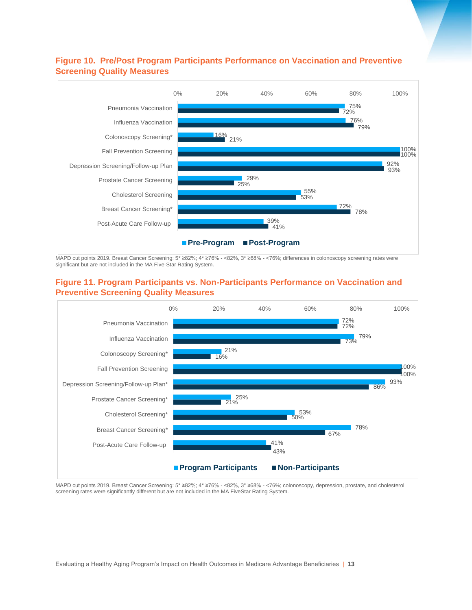#### **Figure 10. Pre/Post Program Participants Performance on Vaccination and Preventive Screening Quality Measures**



MAPD cut points 2019. Breast Cancer Screening: 5\* ≥82%; 4\* ≥76% - <82%, 3\* ≥68% - <76%; differences in colonoscopy screening rates were significant but are not included in the MA Five-Star Rating System.

#### **Figure 11. Program Participants vs. Non-Participants Performance on Vaccination and Preventive Screening Quality Measures**



MAPD cut points 2019. Breast Cancer Screening: 5\* ≥82%; 4\* ≥76% - <82%, 3\* ≥68% - <76%; colonoscopy, depression, prostate, and cholesterol screening rates were significantly different but are not included in the MA FiveStar Rating System.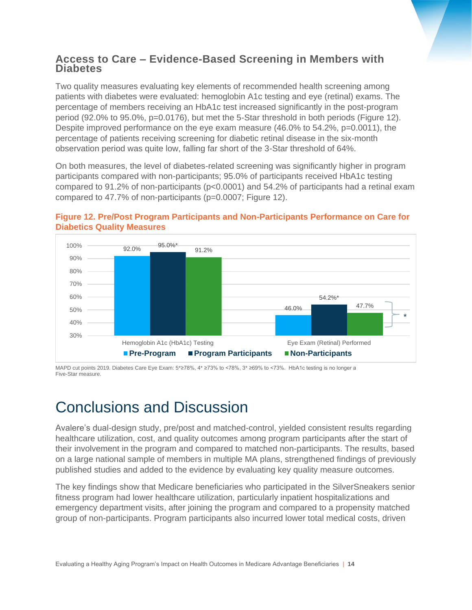### **Access to Care – Evidence-Based Screening in Members with Diabetes**

Two quality measures evaluating key elements of recommended health screening among patients with diabetes were evaluated: hemoglobin A1c testing and eye (retinal) exams. The percentage of members receiving an HbA1c test increased significantly in the post-program period (92.0% to 95.0%, p=0.0176), but met the 5-Star threshold in both periods (Figure 12). Despite improved performance on the eye exam measure (46.0% to 54.2%, p=0.0011), the percentage of patients receiving screening for diabetic retinal disease in the six-month observation period was quite low, falling far short of the 3-Star threshold of 64%.

On both measures, the level of diabetes-related screening was significantly higher in program participants compared with non-participants; 95.0% of participants received HbA1c testing compared to 91.2% of non-participants (p<0.0001) and 54.2% of participants had a retinal exam compared to 47.7% of non-participants (p=0.0007; Figure 12).



#### **Figure 12. Pre/Post Program Participants and Non-Participants Performance on Care for Diabetics Quality Measures**

MAPD cut points 2019. Diabetes Care Eye Exam: 5\*≥78%, 4\* ≥73% to <78%, 3\* ≥69% to <73%. HbA1c testing is no longer a Five-Star measure.

## Conclusions and Discussion

Avalere's dual-design study, pre/post and matched-control, yielded consistent results regarding healthcare utilization, cost, and quality outcomes among program participants after the start of their involvement in the program and compared to matched non-participants. The results, based on a large national sample of members in multiple MA plans, strengthened findings of previously published studies and added to the evidence by evaluating key quality measure outcomes.

The key findings show that Medicare beneficiaries who participated in the SilverSneakers senior fitness program had lower healthcare utilization, particularly inpatient hospitalizations and emergency department visits, after joining the program and compared to a propensity matched group of non-participants. Program participants also incurred lower total medical costs, driven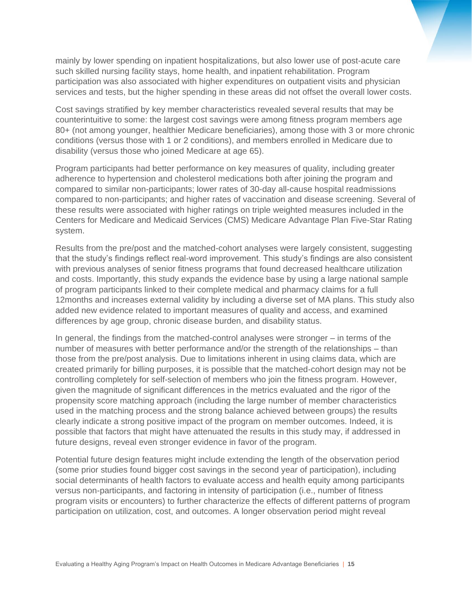mainly by lower spending on inpatient hospitalizations, but also lower use of post-acute care such skilled nursing facility stays, home health, and inpatient rehabilitation. Program participation was also associated with higher expenditures on outpatient visits and physician services and tests, but the higher spending in these areas did not offset the overall lower costs.

Cost savings stratified by key member characteristics revealed several results that may be counterintuitive to some: the largest cost savings were among fitness program members age 80+ (not among younger, healthier Medicare beneficiaries), among those with 3 or more chronic conditions (versus those with 1 or 2 conditions), and members enrolled in Medicare due to disability (versus those who joined Medicare at age 65).

Program participants had better performance on key measures of quality, including greater adherence to hypertension and cholesterol medications both after joining the program and compared to similar non-participants; lower rates of 30-day all-cause hospital readmissions compared to non-participants; and higher rates of vaccination and disease screening. Several of these results were associated with higher ratings on triple weighted measures included in the Centers for Medicare and Medicaid Services (CMS) Medicare Advantage Plan Five-Star Rating system.

Results from the pre/post and the matched-cohort analyses were largely consistent, suggesting that the study's findings reflect real-word improvement. This study's findings are also consistent with previous analyses of senior fitness programs that found decreased healthcare utilization and costs. Importantly, this study expands the evidence base by using a large national sample of program participants linked to their complete medical and pharmacy claims for a full 12months and increases external validity by including a diverse set of MA plans. This study also added new evidence related to important measures of quality and access, and examined differences by age group, chronic disease burden, and disability status.

In general, the findings from the matched-control analyses were stronger – in terms of the number of measures with better performance and/or the strength of the relationships – than those from the pre/post analysis. Due to limitations inherent in using claims data, which are created primarily for billing purposes, it is possible that the matched-cohort design may not be controlling completely for self-selection of members who join the fitness program. However, given the magnitude of significant differences in the metrics evaluated and the rigor of the propensity score matching approach (including the large number of member characteristics used in the matching process and the strong balance achieved between groups) the results clearly indicate a strong positive impact of the program on member outcomes. Indeed, it is possible that factors that might have attenuated the results in this study may, if addressed in future designs, reveal even stronger evidence in favor of the program.

Potential future design features might include extending the length of the observation period (some prior studies found bigger cost savings in the second year of participation), including social determinants of health factors to evaluate access and health equity among participants versus non-participants, and factoring in intensity of participation (i.e., number of fitness program visits or encounters) to further characterize the effects of different patterns of program participation on utilization, cost, and outcomes. A longer observation period might reveal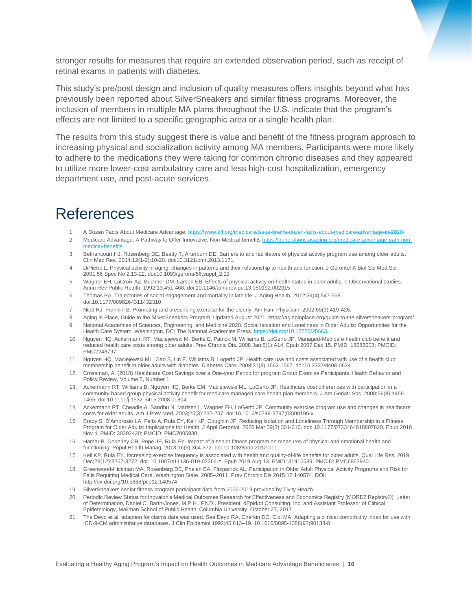stronger results for measures that require an extended observation period, such as receipt of retinal exams in patients with diabetes.

This study's pre/post design and inclusion of quality measures offers insights beyond what has previously been reported about SilverSneakers and similar fitness programs. Moreover, the inclusion of members in multiple MA plans throughout the U.S. indicate that the program's effects are not limited to a specific geographic area or a single health plan.

The results from this study suggest there is value and benefit of the fitness program approach to increasing physical and socialization activity among MA members. Participants were more likely to adhere to the medications they were taking for common chronic diseases and they appeared to utilize more lower-cost ambulatory care and less high-cost hospitalization, emergency department use, and post-acute services.

## References

- 1. A Dozen Facts About Medicare Advantage[. https://www.kff.org/medicare/issue-brief/a-dozen-facts-about-medicare-advantage-in-2020/](https://www.kff.org/medicare/issue-brief/a-dozen-facts-about-medicare-advantage-in-2020/)
- 2. Medicare Advantage: A Pathway to Offer Innovative, Non-Medical benefit[s https://generations.asaging.org/medicare-advantage-path-non](https://generations.asaging.org/medicare-advantage-path-non-medical-benefits)medical-benefits
- 3. Bethancourt HJ, Rosenberg DE, Beatty T, Arterburn DE. Barriers to and facilitators of physical activity program use among older adults. Clin Med Res. 2014;12(1-2):10-20. doi:10.3121/cmr.2013.1171
- 4. DiPietro L. Physical activity in aging: changes in patterns and their relationship to health and function. J Gerontol A Biol Sci Med Sci. 2001;56 Spec No 2:13-22. doi:10.1093/gerona/56.suppl\_2.13
- 5. Wagner EH, LaCroix AZ, Buchner DM, Larson EB. Effects of physical activity on health status in older adults. I: Observational studies. Annu Rev Public Health. 1992;13:451-468. doi:10.1146/annurev.pu.13.050192.002315
- 6. Thomas PA. Trajectories of social engagement and mortality in late life. J Aging Health. 2012;24(4):547-568. doi:10.1177/0898264311432310
- 7. Nied RJ, Franklin B. Promoting and prescribing exercise for the elderly. Am Fam Physician. 2002;65(3):419-426.
- 8. Aging in Place, Guide to the SilverSneakers Program, Updated August 2021. https://aginginplace.org/guide-to-the-silversneakers-program/
- 9. National Academies of Sciences, Engineering, and Medicine 2020. Social Isolation and Loneliness in Older Adults: Opportunities for the Health Care System. Washington, DC: The National Academies Press. https://doi.org/10.17226/2566
- 10. Nguyen HQ, Ackermann RT, Maciejewski M, Berke E, Patrick M, Williams B, LoGerfo JP. Managed-Medicare health club benefit and reduced health care costs among older adults. Prev Chronic Dis. 2008 Jan;5(1):A14. Epub 2007 Dec 15. PMID: 18082003; PMCID: PMC2248797.
- 11. Nguyen HQ, Maciejewski ML, Gao S, Lin E, Williams B, Logerfo JP. Health care use and costs associated with use of a health club membership benefit in older adults with diabetes. Diabetes Care. 2008;31(8):1562-1567. doi:10.2337/dc08-0624
- 12. Crossman, A. (2018) Healthcare Cost Savings over a One-year Period for program Group Exercise Participants. Health Behavior and Policy Review, Volume 5, Number 1
- 13. Ackermann RT, Williams B, Nguyen HQ, Berke EM, Maciejewski ML, LoGerfo JP. Healthcare cost differences with participation in a community-based group physical activity benefit for medicare managed care health plan members. J Am Geriatr Soc. 2008;56(8):1459- 1465. doi:10.1111/j.1532-5415.2008.01804.
- 14. Ackermann RT, Cheadle A, Sandhu N, Madsen L, Wagner EH, LoGerfo JP. Community exercise program use and changes in healthcare costs for older adults. Am J Prev Med. 2003;25(3):232-237. doi:10.1016/s0749-3797(03)00196-x
- 15. Brady S, D'Ambrosio LA, Felts A, Rula EY, Kell KP, Coughlin JF. Reducing Isolation and Loneliness Through Membership in a Fitness Program for Older Adults: Implications for Health. J Appl Gerontol. 2020 Mar;39(3):301-310. doi: 10.1177/0733464818807820. Epub 2018 Nov 4. PMID: 30392420; PMCID: PMC7005930.
- 16. Hamar B, Coberley CR, Pope JE, Rula EY. Impact of a senior fitness program on measures of physical and emotional health and functioning. Popul Health Manag. 2013;16(6):364-372. doi:10.1089/pop.2012.0111
- 17. Kell KP, Rula EY. Increasing exercise frequency is associated with health and quality-of-life benefits for older adults. Qual Life Res. 2019 Dec;28(12):3267-3272. doi: 10.1007/s11136-019-02264-z. Epub 2019 Aug 13. PMID: 31410639; PMCID: PMC6863940.
- 18. Greenwood-Hickman MA, Rosenberg DE, Phelan EA, Fitzpatrick AL. Participation in Older Adult Physical Activity Programs and Risk for Falls Requiring Medical Care, Washington State, 2005–2011. Prev Chronic Dis 2015;12:140574. DOI: http://dx.doi.org/10.5888/pcd12.140574
- 19. SilverSneakers senior fitness program participant data from 2006-2019 provided by Tivity Health.
- 20. Periodic Review Status for Inovalon's Medical Outcomes Research for Effectiveness and Economics Registry (MORE2 Registry®), Letter of Determination, Daniel C. Barth-Jones, M.P.H., Ph.D., President, dEpid/dt Consulting, Inc. and Assistant Professor of Clinical Epidemiology, Mailman School of Public Health, Columbia University, October 27, 2017.
- 21. The Deyo et al. adaption for claims data was used. See Deyo RA, Cherkin DC, Ciol MA. Adapting a clinical comorbidity index for use with ICD-9-CM administrative databases. J Clin Epidemiol 1992;45:613–19. 10.1016/0895-4356(92)90133-8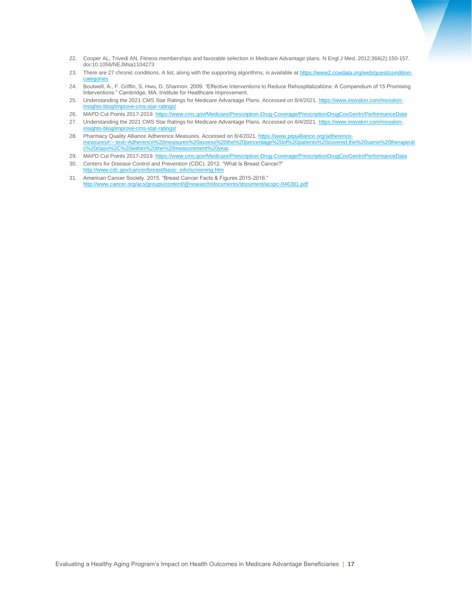- 22. Cooper AL, Trivedi AN. Fitness memberships and favorable selection in Medicare Advantage plans. N Engl J Med. 2012;366(2):150-157. doi:10.1056/NEJMsa1104273
- 23. There are 27 chronic conditions. A list, along with the supporting algorithms, is available a[t https://www2.ccwdata.org/web/guest/condition](https://www2.ccwdata.org/web/guest/condition-categories)[categories](https://www2.ccwdata.org/web/guest/condition-categories)
- 24. Boutwell, A., F. Griffin, S. Hwu, D. Shannon. 2009. "Effective Interventions to Reduce Rehospitalizations: A Compendium of 15 Promising Interventions." Cambridge, MA. Institute for Healthcare Improvement.
- 25. Understanding the 2021 CMS Star Ratings for Medicare Advantage Plans. Accessed on 8/4/2021[. https://www.inovalon.com/inovalon](https://www.inovalon.com/inovalon-insights-blog/improve-cms-star-ratings/)[insights-blog/improve-cms-star-ratings/](https://www.inovalon.com/inovalon-insights-blog/improve-cms-star-ratings/)
- 26. MAPD Cut Points 2017-2019.<https://www.cms.gov/Medicare/Prescription-Drug-Coverage/PrescriptionDrugCovGenIn/PerformanceData> 27. Understanding the 2021 CMS Star Ratings for Medicare Advantage Plans. Accessed on 8/4/2021[. https://www.inovalon.com/inovalon](https://www.inovalon.com/inovalon-insights-blog/improve-cms-star-ratings/)[insights-blog/improve-cms-star-ratings/](https://www.inovalon.com/inovalon-insights-blog/improve-cms-star-ratings/)
- 28. Pharmacy Quality Alliance Adherence Measures. Accessed on 8/4/2021[. https://www.pqaalliance.org/adherence](https://www.pqaalliance.org/adherence-measures#:~:text=Adherence%20measures%20assess%20the%20percentage%20of%20patients%20covered,the%20same%20therapeutic%20class%2C%20within%20the%20measurement%20year)[measures#:~:text=Adherence%20measures%20assess%20the%20percentage%20of%20patients%20covered,the%20same%20therapeuti](https://www.pqaalliance.org/adherence-measures#:~:text=Adherence%20measures%20assess%20the%20percentage%20of%20patients%20covered,the%20same%20therapeutic%20class%2C%20within%20the%20measurement%20year) [c%20class%2C%20within%20the%20measurement%20year.](https://www.pqaalliance.org/adherence-measures#:~:text=Adherence%20measures%20assess%20the%20percentage%20of%20patients%20covered,the%20same%20therapeutic%20class%2C%20within%20the%20measurement%20year)
- 29. MAPD Cut Points 2017-2019. https://www.cms.gov/Medicare/Prescription-Drug-Coverage/PrescriptionDrugCovGenIn/PerformanceData
- 30. Centers for Disease Control and Prevention (CDC). 2012. "What Is Breast Cancer?" [http://www.cdc.gov/cancer/breast/basic\\_info/screening.htm](http://www.cdc.gov/cancer/breast/basic_info/screening.htm)
- 31. American Cancer Society. 2015. "Breast Cancer Facts & Figures 2015-2016." <http://www.cancer.org/acs/groups/content/@research/documents/document/acspc-046381.pdf>